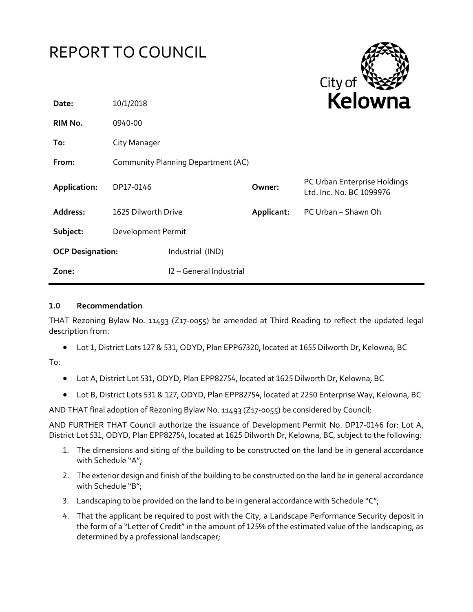

## **1.0 Recommendation**

THAT Rezoning Bylaw No. 11493 (Z17-0055) be amended at Third Reading to reflect the updated legal description from:

Lot 1, District Lots 127 & 531, ODYD, Plan EPP67320, located at 1655 Dilworth Dr, Kelowna, BC

To:

- Lot A, District Lot 531, ODYD, Plan EPP82754, located at 1625 Dilworth Dr, Kelowna, BC
- Lot B, District Lots 531 & 127, ODYD, Plan EPP82754, located at 2250 Enterprise Way, Kelowna, BC

AND THAT final adoption of Rezoning Bylaw No. 11493 (Z17-0055) be considered by Council;

AND FURTHER THAT Council authorize the issuance of Development Permit No. DP17-0146 for: Lot A, District Lot 531, ODYD, Plan EPP82754, located at 1625 Dilworth Dr, Kelowna, BC, subject to the following:

- 1. The dimensions and siting of the building to be constructed on the land be in general accordance with Schedule "A";
- 2. The exterior design and finish of the building to be constructed on the land be in general accordance with Schedule "B";
- 3. Landscaping to be provided on the land to be in general accordance with Schedule " $C$ ";
- 4. That the applicant be required to post with the City, a Landscape Performance Security deposit in the form of a "Letter of Credit" in the amount of 125% of the estimated value of the landscaping, as determined by a professional landscaper;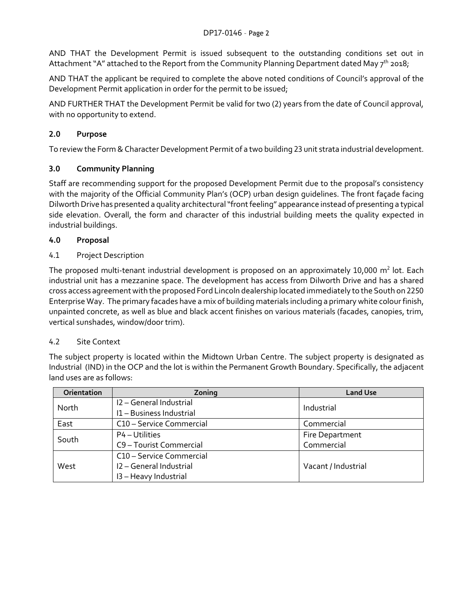AND THAT the Development Permit is issued subsequent to the outstanding conditions set out in Attachment "A" attached to the Report from the Community Planning Department dated May 7<sup>th</sup> 2018;

AND THAT the applicant be required to complete the above noted conditions of Council's approval of the Development Permit application in order for the permit to be issued;

AND FURTHER THAT the Development Permit be valid for two (2) years from the date of Council approval, with no opportunity to extend.

## **2.0 Purpose**

To review the Form & Character Development Permit of a two building 23 unit strata industrial development.

## **3.0 Community Planning**

Staff are recommending support for the proposed Development Permit due to the proposal's consistency with the majority of the Official Community Plan's (OCP) urban design guidelines. The front façade facing Dilworth Drive has presented a quality architectural "front feeling" appearance instead of presenting a typical side elevation. Overall, the form and character of this industrial building meets the quality expected in industrial buildings.

## **4.0 Proposal**

## 4.1 Project Description

The proposed multi-tenant industrial development is proposed on an approximately 10,000  $m^2$  lot. Each industrial unit has a mezzanine space. The development has access from Dilworth Drive and has a shared cross access agreement with the proposed Ford Lincoln dealership located immediately to the South on 2250 Enterprise Way. The primary facades have a mix of building materials including a primary white colour finish, unpainted concrete, as well as blue and black accent finishes on various materials (facades, canopies, trim, vertical sunshades, window/door trim).

### 4.2 Site Context

The subject property is located within the Midtown Urban Centre. The subject property is designated as Industrial (IND) in the OCP and the lot is within the Permanent Growth Boundary. Specifically, the adjacent land uses are as follows:

| Orientation | Zoning                   | <b>Land Use</b>     |
|-------------|--------------------------|---------------------|
| North       | I2 - General Industrial  | Industrial          |
|             | I1 - Business Industrial |                     |
| East        | C10 - Service Commercial | Commercial          |
| South       | P4 – Utilities           | Fire Department     |
|             | C9 - Tourist Commercial  | Commercial          |
|             | C10 - Service Commercial |                     |
| West        | I2 - General Industrial  | Vacant / Industrial |
|             | I3 - Heavy Industrial    |                     |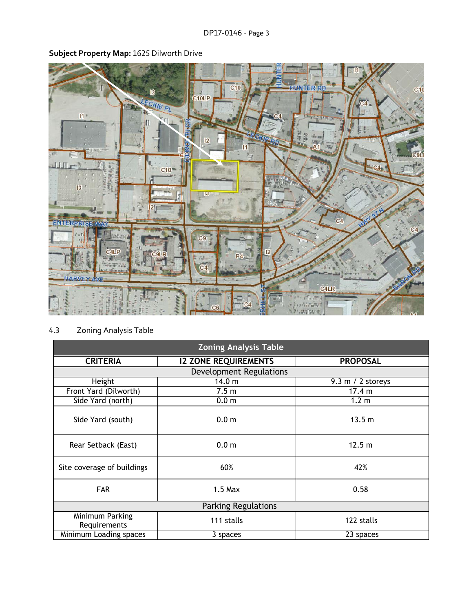**Subject Property Map:** 1625 Dilworth Drive



# 4.3 Zoning Analysis Table

| <b>Zoning Analysis Table</b>    |                                |                     |  |  |
|---------------------------------|--------------------------------|---------------------|--|--|
| <b>CRITERIA</b>                 | <b>I2 ZONE REQUIREMENTS</b>    | <b>PROPOSAL</b>     |  |  |
|                                 | <b>Development Regulations</b> |                     |  |  |
| Height                          | 14.0 <sub>m</sub>              | $9.3$ m / 2 storeys |  |  |
| Front Yard (Dilworth)           | 7.5 <sub>m</sub>               | 17.4 m              |  |  |
| Side Yard (north)               | 0.0 <sub>m</sub>               | 1.2 <sub>m</sub>    |  |  |
| Side Yard (south)               | 0.0 <sub>m</sub>               | 13.5 m              |  |  |
| Rear Setback (East)             | 0.0 <sub>m</sub>               | 12.5 m              |  |  |
| Site coverage of buildings      | 60%                            | 42%                 |  |  |
| <b>FAR</b>                      | $1.5$ Max                      | 0.58                |  |  |
| <b>Parking Regulations</b>      |                                |                     |  |  |
| Minimum Parking<br>Requirements | 111 stalls                     | 122 stalls          |  |  |
| Minimum Loading spaces          | 3 spaces                       | 23 spaces           |  |  |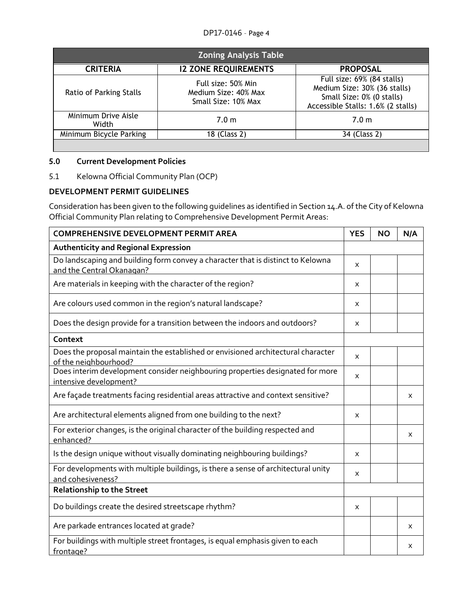| <b>Zoning Analysis Table</b> |                                                                   |                                                                                                                               |  |
|------------------------------|-------------------------------------------------------------------|-------------------------------------------------------------------------------------------------------------------------------|--|
| <b>CRITERIA</b>              | <b>12 ZONE REQUIREMENTS</b>                                       | <b>PROPOSAL</b>                                                                                                               |  |
| Ratio of Parking Stalls      | Full size: 50% Min<br>Medium Size: 40% Max<br>Small Size: 10% Max | Full size: 69% (84 stalls)<br>Medium Size: 30% (36 stalls)<br>Small Size: 0% (0 stalls)<br>Accessible Stalls: 1.6% (2 stalls) |  |
| Minimum Drive Aisle<br>Width | 7.0 <sub>m</sub>                                                  | 7.0 <sub>m</sub>                                                                                                              |  |
| Minimum Bicycle Parking      | 18 (Class 2)                                                      | 34 (Class 2)                                                                                                                  |  |
|                              |                                                                   |                                                                                                                               |  |

## **5.0 Current Development Policies**

5.1 Kelowna Official Community Plan (OCP)

## **DEVELOPMENT PERMIT GUIDELINES**

Consideration has been given to the following guidelines as identified in Section 14.A. of the City of Kelowna Official Community Plan relating to Comprehensive Development Permit Areas:

| <b>COMPREHENSIVE DEVELOPMENT PERMIT AREA</b>                                                                 | <b>YES</b> | <b>NO</b> | N/A |
|--------------------------------------------------------------------------------------------------------------|------------|-----------|-----|
| <b>Authenticity and Regional Expression</b>                                                                  |            |           |     |
| Do landscaping and building form convey a character that is distinct to Kelowna<br>and the Central Okanagan? | X          |           |     |
| Are materials in keeping with the character of the region?                                                   | X          |           |     |
| Are colours used common in the region's natural landscape?                                                   | X          |           |     |
| Does the design provide for a transition between the indoors and outdoors?                                   | X          |           |     |
| Context                                                                                                      |            |           |     |
| Does the proposal maintain the established or envisioned architectural character<br>of the neighbourhood?    | X          |           |     |
| Does interim development consider neighbouring properties designated for more<br>intensive development?      | X          |           |     |
| Are façade treatments facing residential areas attractive and context sensitive?                             |            |           | X   |
| Are architectural elements aligned from one building to the next?                                            | X          |           |     |
| For exterior changes, is the original character of the building respected and<br>enhanced?                   |            |           | X   |
| Is the design unique without visually dominating neighbouring buildings?                                     | X          |           |     |
| For developments with multiple buildings, is there a sense of architectural unity<br>and cohesiveness?       | X          |           |     |
| <b>Relationship to the Street</b>                                                                            |            |           |     |
| Do buildings create the desired streetscape rhythm?                                                          | X          |           |     |
| Are parkade entrances located at grade?                                                                      |            |           | x   |
| For buildings with multiple street frontages, is equal emphasis given to each<br>frontage?                   |            |           | X   |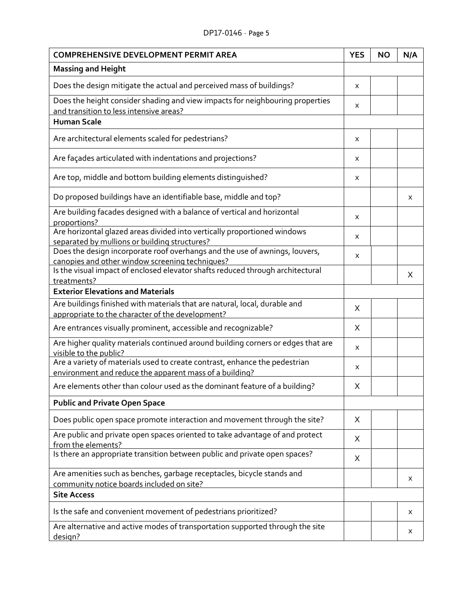| <b>COMPREHENSIVE DEVELOPMENT PERMIT AREA</b>                                                                                          |   | <b>NO</b> | N/A |
|---------------------------------------------------------------------------------------------------------------------------------------|---|-----------|-----|
| <b>Massing and Height</b>                                                                                                             |   |           |     |
| Does the design mitigate the actual and perceived mass of buildings?                                                                  | X |           |     |
| Does the height consider shading and view impacts for neighbouring properties<br>and transition to less intensive areas?              | X |           |     |
| <b>Human Scale</b>                                                                                                                    |   |           |     |
| Are architectural elements scaled for pedestrians?                                                                                    | x |           |     |
| Are façades articulated with indentations and projections?                                                                            | X |           |     |
| Are top, middle and bottom building elements distinguished?                                                                           | X |           |     |
| Do proposed buildings have an identifiable base, middle and top?                                                                      |   |           | X   |
| Are building facades designed with a balance of vertical and horizontal<br>proportions?                                               | X |           |     |
| Are horizontal glazed areas divided into vertically proportioned windows<br>separated by mullions or building structures?             | x |           |     |
| Does the design incorporate roof overhangs and the use of awnings, louvers,<br>canopies and other window screening techniques?        | X |           |     |
| Is the visual impact of enclosed elevator shafts reduced through architectural<br>treatments?                                         |   |           | X   |
| <b>Exterior Elevations and Materials</b>                                                                                              |   |           |     |
| Are buildings finished with materials that are natural, local, durable and                                                            | X |           |     |
| appropriate to the character of the development?                                                                                      |   |           |     |
| Are entrances visually prominent, accessible and recognizable?                                                                        | X |           |     |
| Are higher quality materials continued around building corners or edges that are<br>visible to the public?                            | x |           |     |
| Are a variety of materials used to create contrast, enhance the pedestrian<br>environment and reduce the apparent mass of a building? | X |           |     |
| Are elements other than colour used as the dominant feature of a building?                                                            | X |           |     |
| <b>Public and Private Open Space</b>                                                                                                  |   |           |     |
| Does public open space promote interaction and movement through the site?                                                             | X |           |     |
| Are public and private open spaces oriented to take advantage of and protect<br>from the elements?                                    | X |           |     |
| Is there an appropriate transition between public and private open spaces?                                                            | Χ |           |     |
| Are amenities such as benches, garbage receptacles, bicycle stands and                                                                |   |           | X   |
| community notice boards included on site?<br><b>Site Access</b>                                                                       |   |           |     |
| Is the safe and convenient movement of pedestrians prioritized?                                                                       |   |           | X   |
| Are alternative and active modes of transportation supported through the site<br>design?                                              |   |           | X   |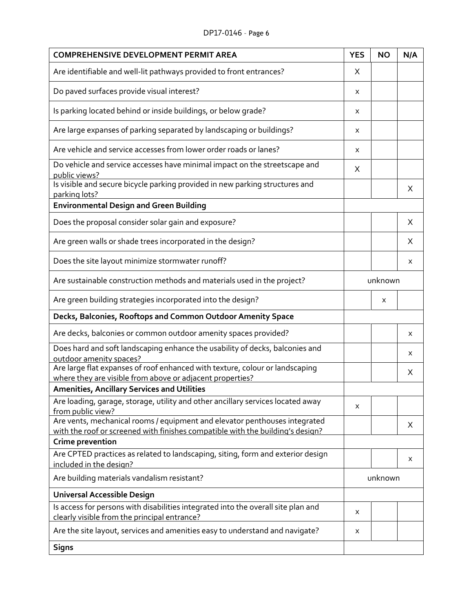#### DP17-0146 – Page 6

| <b>COMPREHENSIVE DEVELOPMENT PERMIT AREA</b>                                                                                              | <b>YES</b> | <b>NO</b> | N/A |
|-------------------------------------------------------------------------------------------------------------------------------------------|------------|-----------|-----|
| Are identifiable and well-lit pathways provided to front entrances?                                                                       | Χ          |           |     |
| Do paved surfaces provide visual interest?                                                                                                | Χ          |           |     |
| Is parking located behind or inside buildings, or below grade?                                                                            | X          |           |     |
| Are large expanses of parking separated by landscaping or buildings?                                                                      | X          |           |     |
| Are vehicle and service accesses from lower order roads or lanes?                                                                         | X          |           |     |
| Do vehicle and service accesses have minimal impact on the streetscape and<br>public views?                                               | X          |           |     |
| Is visible and secure bicycle parking provided in new parking structures and<br>parking lots?                                             |            |           | X   |
| <b>Environmental Design and Green Building</b>                                                                                            |            |           |     |
| Does the proposal consider solar gain and exposure?                                                                                       |            |           | X   |
| Are green walls or shade trees incorporated in the design?                                                                                |            |           | X   |
| Does the site layout minimize stormwater runoff?                                                                                          |            |           | X   |
| Are sustainable construction methods and materials used in the project?                                                                   |            | unknown   |     |
| Are green building strategies incorporated into the design?                                                                               |            | X         |     |
| Decks, Balconies, Rooftops and Common Outdoor Amenity Space                                                                               |            |           |     |
| Are decks, balconies or common outdoor amenity spaces provided?                                                                           |            |           | X   |
| Does hard and soft landscaping enhance the usability of decks, balconies and<br>outdoor amenity spaces?                                   |            |           | X   |
| Are large flat expanses of roof enhanced with texture, colour or landscaping<br>where they are visible from above or adjacent properties? |            |           | Χ   |
| <b>Amenities, Ancillary Services and Utilities</b>                                                                                        |            |           |     |
| Are loading, garage, storage, utility and other ancillary services located away<br>from public view?                                      | Χ          |           |     |
| Are vents, mechanical rooms / equipment and elevator penthouses integrated                                                                |            |           |     |
| with the roof or screened with finishes compatible with the building's design?                                                            |            |           | X   |
| Crime prevention                                                                                                                          |            |           |     |
| Are CPTED practices as related to landscaping, siting, form and exterior design                                                           |            |           | X   |
| included in the design?                                                                                                                   |            |           |     |
| Are building materials vandalism resistant?                                                                                               |            | unknown   |     |
| Universal Accessible Design                                                                                                               |            |           |     |
| Is access for persons with disabilities integrated into the overall site plan and<br>clearly visible from the principal entrance?         | X          |           |     |
| Are the site layout, services and amenities easy to understand and navigate?                                                              | X          |           |     |
| <b>Signs</b>                                                                                                                              |            |           |     |